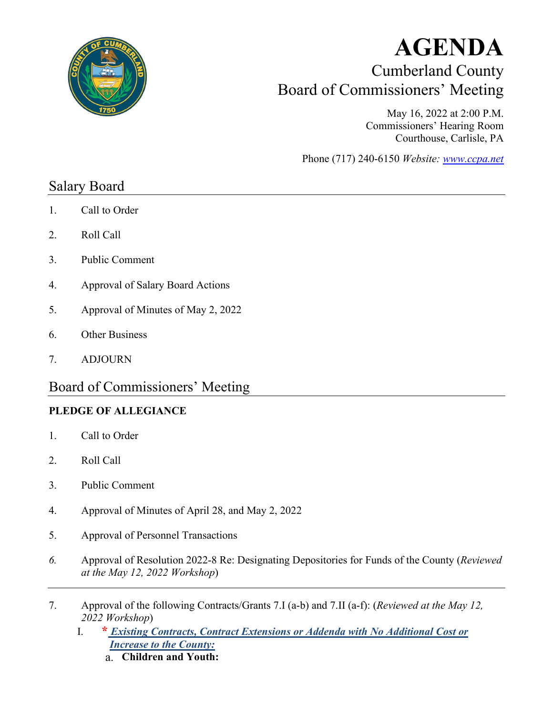

# **AGENDA** Cumberland County Board of Commissioners' Meeting

May 16, 2022 at 2:00 P.M. Commissioners' Hearing Room Courthouse, Carlisle, PA

Phone (717) 240-6150 *Website: [www.ccpa.net](http://www.ccpa.net/)*

### Salary Board

- 1. Call to Order
- 2. Roll Call
- 3. Public Comment
- 4. Approval of Salary Board Actions
- 5. Approval of Minutes of May 2, 2022
- 6. Other Business
- 7. ADJOURN

## Board of Commissioners' Meeting

#### **PLEDGE OF ALLEGIANCE**

- 1. Call to Order
- 2. Roll Call
- 3. Public Comment
- 4. Approval of Minutes of April 28, and May 2, 2022
- 5. Approval of Personnel Transactions
- *6.* Approval of Resolution 2022-8 Re: Designating Depositories for Funds of the County (*Reviewed at the May 12, 2022 Workshop*)
- 7. Approval of the following Contracts/Grants 7.I (a-b) and 7.II (a-f): (*Reviewed at the May 12, 2022 Workshop*)
	- I. **\*** *Existing Contracts, Contract Extensions or Addenda with No Additional Cost or Increase to the County:*
		- **Children and Youth:**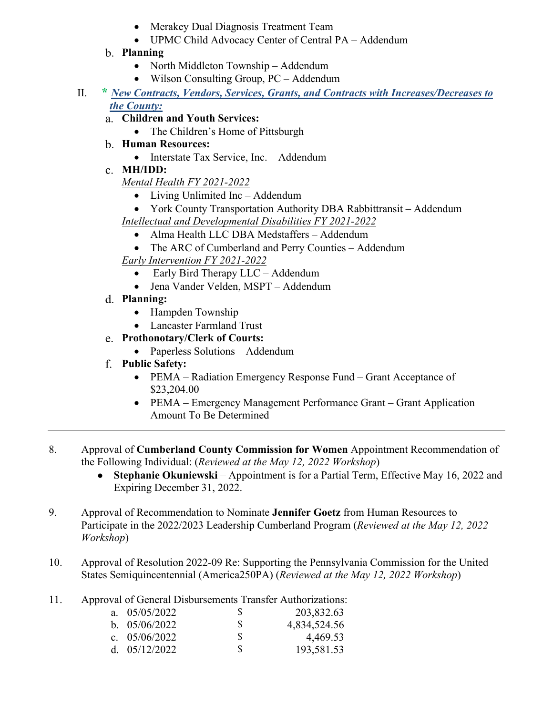- Merakey Dual Diagnosis Treatment Team
- UPMC Child Advocacy Center of Central PA Addendum

#### **Planning**

- North Middleton Township Addendum
- Wilson Consulting Group, PC Addendum
- II. **\*** *New Contracts, Vendors, Services, Grants, and Contracts with Increases/Decreases to the County:*
	- **Children and Youth Services:** 
		- The Children's Home of Pittsburgh
	- **Human Resources:** 
		- Interstate Tax Service, Inc. Addendum
	- **MH/IDD:**

*Mental Health FY 2021-2022* 

- Living Unlimited Inc Addendum
- York County Transportation Authority DBA Rabbittransit Addendum
- *Intellectual and Developmental Disabilities FY 2021-2022* 
	- Alma Health LLC DBA Medstaffers Addendum
	- The ARC of Cumberland and Perry Counties Addendum
- *Early Intervention FY 2021-2022* 
	- Early Bird Therapy LLC Addendum
	- Jena Vander Velden, MSPT Addendum
- **Planning:** 
	- Hampden Township
	- Lancaster Farmland Trust
- **Prothonotary/Clerk of Courts:** 
	- Paperless Solutions Addendum
- **Public Safety:** 
	- PEMA Radiation Emergency Response Fund Grant Acceptance of \$23,204.00
	- PEMA Emergency Management Performance Grant Grant Application Amount To Be Determined
- 8. Approval of **Cumberland County Commission for Women** Appointment Recommendation of the Following Individual: (*Reviewed at the May 12, 2022 Workshop*)
	- **Stephanie Okuniewski** Appointment is for a Partial Term, Effective May 16, 2022 and  $\bullet$ Expiring December 31, 2022.
- 9. Approval of Recommendation to Nominate **Jennifer Goetz** from Human Resources to Participate in the 2022/2023 Leadership Cumberland Program (*Reviewed at the May 12, 2022 Workshop*)
- 10. Approval of Resolution 2022-09 Re: Supporting the Pennsylvania Commission for the United States Semiquincentennial (America250PA) (*Reviewed at the May 12, 2022 Workshop*)
- 11. Approval of General Disbursements Transfer Authorizations:

| a. $05/05/2022$ | <b>S</b> | 203,832.63   |
|-----------------|----------|--------------|
| b. $05/06/2022$ | S.       | 4,834,524.56 |
| c. $05/06/2022$ | S.       | 4,469.53     |
| d. $05/12/2022$ | \$.      | 193,581.53   |